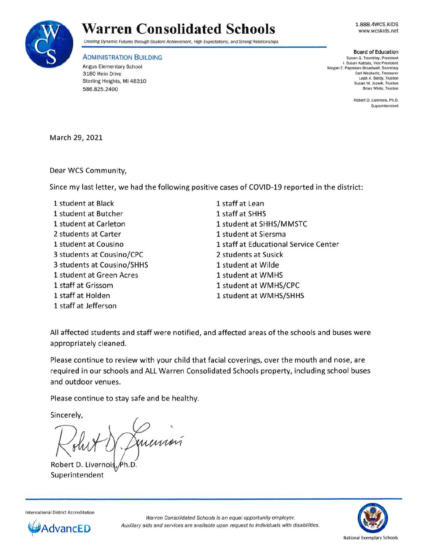

1.888.4WCS.KIDS www.wcskids.net



Creating Dynamic Futures through Student Achievement, High Expectations, and Strong Relationships

**ADMINISTRATION BUILDING** 

Angus Elementary School 3180 Hein Drive Sterling Heights, **Ml** 48310 586.825.2400

**Board of Education**  Susan G. Trombley, President I. Susan Kattula, Vice President Megan E. Papasian-Broadwell. Secretary Carl Weckerle, Treasurer Leah A. Berdy, Trustee Susan M. Jozwik, Trustee Brian White, Trustee

> Robert D. Livernois, Ph.D. Superintendent

March 29, 2021

Dear WCS Community,

Since my last letter, we had the following positive cases of COVID-19 reported in the district:

1 student at Black 1 student at Butcher 1 student at Carleton 2 students at Carter 1 student at Cousino 3 students at Cousino/CPC 3 students at Cousino/SHHS 1 student at Green Acres 1 staff at Grissom 1 staff at Holden 1 staff at Jefferson

1 staff at Lean 1 staff at SHHS 1 student at SHHS/MMSTC 1 student at Siersma 1 staff at Educational Service Center 2 students at Susick 1 student at Wilde 1 student at WMHS 1 student at WMHS/CPC 1 student at WMHS/SHHS

All affected students and staff were notified, and affected areas of the schools and buses were appropriately cleaned.

Please continue to review with your child that facial coverings, over the mouth and nose, are required in our schools and ALL Warren Consolidated Schools property, including school buses and outdoor venues.

Please continue to stay safe and be healthy.

Sincerely,

Robert D. Livernoi Superintendent

**International District Accreditation**